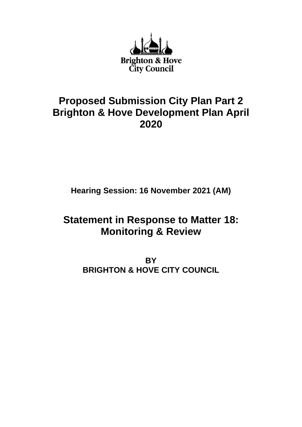

# **Proposed Submission City Plan Part 2 Brighton & Hove Development Plan April 2020**

**Hearing Session: 16 November 2021 (AM)**

# **Statement in Response to Matter 18: Monitoring & Review**

**BY BRIGHTON & HOVE CITY COUNCIL**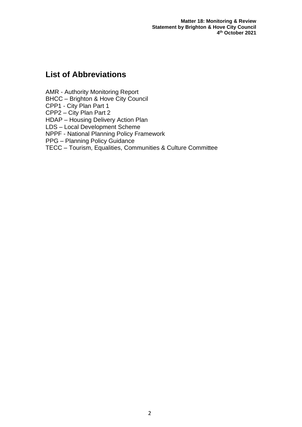**Matter 18: Monitoring & Review Statement by Brighton & Hove City Council 4 th October 2021**

# **List of Abbreviations**

AMR - Authority Monitoring Report

BHCC – Brighton & Hove City Council

CPP1 - City Plan Part 1

CPP2 – City Plan Part 2

HDAP – Housing Delivery Action Plan

LDS – Local Development Scheme

NPPF - National Planning Policy Framework

PPG – Planning Policy Guidance

TECC – Tourism, Equalities, Communities & Culture Committee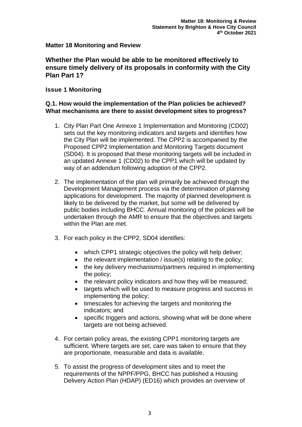# **Matter 18 Monitoring and Review**

# **Whether the Plan would be able to be monitored effectively to ensure timely delivery of its proposals in conformity with the City Plan Part 1?**

# **Issue 1 Monitoring**

## **Q.1. How would the implementation of the Plan policies be achieved? What mechanisms are there to assist development sites to progress?**

- 1. City Plan Part One Annexe 1 Implementation and Monitoring (CD02) sets out the key monitoring indicators and targets and identifies how the City Plan will be implemented. The CPP2 is accompanied by the Proposed CPP2 Implementation and Monitoring Targets document (SD04). It is proposed that these monitoring targets will be included in an updated Annexe 1 (CD02) to the CPP1 which will be updated by way of an addendum following adoption of the CPP2.
- 2. The implementation of the plan will primarily be achieved through the Development Management process via the determination of planning applications for development. The majority of planned development is likely to be delivered by the market, but some will be delivered by public bodies including BHCC. Annual monitoring of the policies will be undertaken through the AMR to ensure that the objectives and targets within the Plan are met.
- 3. For each policy in the CPP2, SD04 identifies:
	- which CPP1 strategic objectives the policy will help deliver;
	- the relevant implementation / issue(s) relating to the policy;
	- the key delivery mechanisms/partners required in implementing the policy;
	- the relevant policy indicators and how they will be measured;
	- targets which will be used to measure progress and success in implementing the policy;
	- timescales for achieving the targets and monitoring the indicators; and
	- specific triggers and actions, showing what will be done where targets are not being achieved.
- 4. For certain policy areas, the existing CPP1 monitoring targets are sufficient. Where targets are set, care was taken to ensure that they are proportionate, measurable and data is available.
- 5. To assist the progress of development sites and to meet the requirements of the NPPF/PPG, BHCC has published a Housing Delivery Action Plan (HDAP) (ED16) which provides an overview of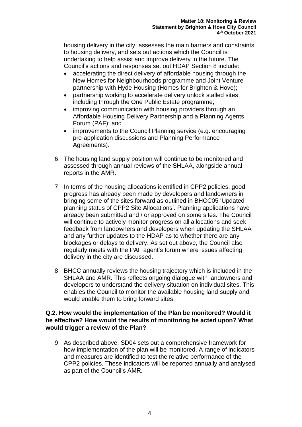housing delivery in the city, assesses the main barriers and constraints to housing delivery, and sets out actions which the Council is undertaking to help assist and improve delivery in the future. The Council's actions and responses set out HDAP Section 8 include:

- accelerating the direct delivery of affordable housing through the New Homes for Neighbourhoods programme and Joint Venture partnership with Hyde Housing (Homes for Brighton & Hove);
- partnership working to accelerate delivery unlock stalled sites, including through the One Public Estate programme;
- improving communication with housing providers through an Affordable Housing Delivery Partnership and a Planning Agents Forum (PAF); and
- improvements to the Council Planning service (e.g. encouraging pre-application discussions and Planning Performance Agreements).
- 6. The housing land supply position will continue to be monitored and assessed through annual reviews of the SHLAA, alongside annual reports in the AMR.
- 7. In terms of the housing allocations identified in CPP2 policies, good progress has already been made by developers and landowners in bringing some of the sites forward as outlined in BHCC05 'Updated planning status of CPP2 Site Allocations'. Planning applications have already been submitted and / or approved on some sites. The Council will continue to actively monitor progress on all allocations and seek feedback from landowners and developers when updating the SHLAA and any further updates to the HDAP as to whether there are any blockages or delays to delivery. As set out above, the Council also regularly meets with the PAF agent's forum where issues affecting delivery in the city are discussed.
- 8. BHCC annually reviews the housing trajectory which is included in the SHLAA and AMR. This reflects ongoing dialogue with landowners and developers to understand the delivery situation on individual sites. This enables the Council to monitor the available housing land supply and would enable them to bring forward sites.

# **Q.2. How would the implementation of the Plan be monitored? Would it be effective? How would the results of monitoring be acted upon? What would trigger a review of the Plan?**

9. As described above, SD04 sets out a comprehensive framework for how implementation of the plan will be monitored. A range of indicators and measures are identified to test the relative performance of the CPP2 policies. These indicators will be reported annually and analysed as part of the Council's AMR.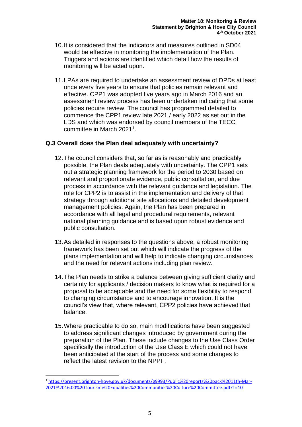- 10.It is considered that the indicators and measures outlined in SD04 would be effective in monitoring the implementation of the Plan. Triggers and actions are identified which detail how the results of monitoring will be acted upon.
- 11.LPAs are required to undertake an assessment review of DPDs at least once every five years to ensure that policies remain relevant and effective. CPP1 was adopted five years ago in March 2016 and an assessment review process has been undertaken indicating that some policies require review. The council has programmed detailed to commence the CPP1 review late 2021 / early 2022 as set out in the LDS and which was endorsed by council members of the TECC committee in March 2021<sup>1</sup>.

# **Q.3 Overall does the Plan deal adequately with uncertainty?**

- 12.The council considers that, so far as is reasonably and practicably possible, the Plan deals adequately with uncertainty. The CPP1 sets out a strategic planning framework for the period to 2030 based on relevant and proportionate evidence, public consultation, and due process in accordance with the relevant guidance and legislation. The role for CPP2 is to assist in the implementation and delivery of that strategy through additional site allocations and detailed development management policies. Again, the Plan has been prepared in accordance with all legal and procedural requirements, relevant national planning guidance and is based upon robust evidence and public consultation.
- 13.As detailed in responses to the questions above, a robust monitoring framework has been set out which will indicate the progress of the plans implementation and will help to indicate changing circumstances and the need for relevant actions including plan review.
- 14.The Plan needs to strike a balance between giving sufficient clarity and certainty for applicants / decision makers to know what is required for a proposal to be acceptable and the need for some flexibility to respond to changing circumstance and to encourage innovation. It is the council's view that, where relevant, CPP2 policies have achieved that balance.
- 15.Where practicable to do so, main modifications have been suggested to address significant changes introduced by government during the preparation of the Plan. These include changes to the Use Class Order specifically the introduction of the Use Class E which could not have been anticipated at the start of the process and some changes to reflect the latest revision to the NPPF.

<sup>1</sup> [https://present.brighton-hove.gov.uk/documents/g9993/Public%20reports%20pack%2011th-Mar-](https://present.brighton-hove.gov.uk/documents/g9993/Public%20reports%20pack%2011th-Mar-2021%2016.00%20Tourism%20Equalities%20Communities%20Culture%20Committee.pdf?T=10)[2021%2016.00%20Tourism%20Equalities%20Communities%20Culture%20Committee.pdf?T=10](https://present.brighton-hove.gov.uk/documents/g9993/Public%20reports%20pack%2011th-Mar-2021%2016.00%20Tourism%20Equalities%20Communities%20Culture%20Committee.pdf?T=10)